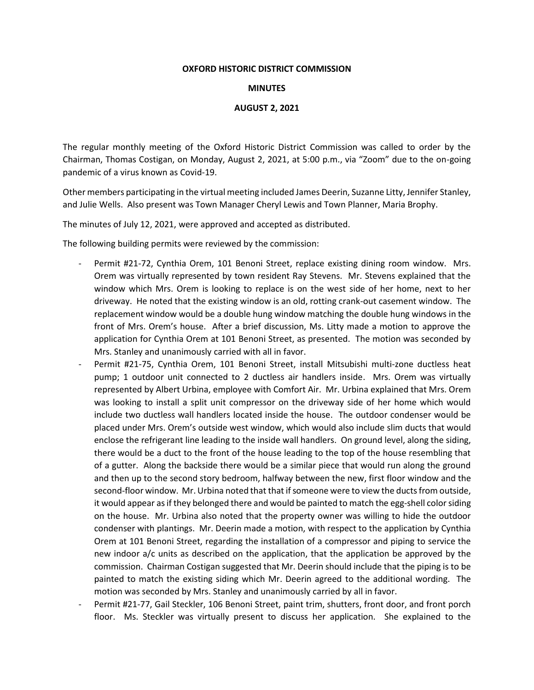## **OXFORD HISTORIC DISTRICT COMMISSION**

## **MINUTES**

## **AUGUST 2, 2021**

The regular monthly meeting of the Oxford Historic District Commission was called to order by the Chairman, Thomas Costigan, on Monday, August 2, 2021, at 5:00 p.m., via "Zoom" due to the on-going pandemic of a virus known as Covid-19.

Other members participating in the virtual meeting included James Deerin, Suzanne Litty, Jennifer Stanley, and Julie Wells. Also present was Town Manager Cheryl Lewis and Town Planner, Maria Brophy.

The minutes of July 12, 2021, were approved and accepted as distributed.

The following building permits were reviewed by the commission:

- Permit #21-72, Cynthia Orem, 101 Benoni Street, replace existing dining room window. Mrs. Orem was virtually represented by town resident Ray Stevens. Mr. Stevens explained that the window which Mrs. Orem is looking to replace is on the west side of her home, next to her driveway. He noted that the existing window is an old, rotting crank-out casement window. The replacement window would be a double hung window matching the double hung windows in the front of Mrs. Orem's house. After a brief discussion, Ms. Litty made a motion to approve the application for Cynthia Orem at 101 Benoni Street, as presented. The motion was seconded by Mrs. Stanley and unanimously carried with all in favor.
- Permit #21-75, Cynthia Orem, 101 Benoni Street, install Mitsubishi multi-zone ductless heat pump; 1 outdoor unit connected to 2 ductless air handlers inside. Mrs. Orem was virtually represented by Albert Urbina, employee with Comfort Air. Mr. Urbina explained that Mrs. Orem was looking to install a split unit compressor on the driveway side of her home which would include two ductless wall handlers located inside the house. The outdoor condenser would be placed under Mrs. Orem's outside west window, which would also include slim ducts that would enclose the refrigerant line leading to the inside wall handlers. On ground level, along the siding, there would be a duct to the front of the house leading to the top of the house resembling that of a gutter. Along the backside there would be a similar piece that would run along the ground and then up to the second story bedroom, halfway between the new, first floor window and the second-floor window. Mr. Urbina noted that that if someone were to view the ducts from outside, it would appear as if they belonged there and would be painted to match the egg-shell color siding on the house. Mr. Urbina also noted that the property owner was willing to hide the outdoor condenser with plantings. Mr. Deerin made a motion, with respect to the application by Cynthia Orem at 101 Benoni Street, regarding the installation of a compressor and piping to service the new indoor a/c units as described on the application, that the application be approved by the commission. Chairman Costigan suggested that Mr. Deerin should include that the piping is to be painted to match the existing siding which Mr. Deerin agreed to the additional wording. The motion was seconded by Mrs. Stanley and unanimously carried by all in favor.
- Permit #21-77, Gail Steckler, 106 Benoni Street, paint trim, shutters, front door, and front porch floor. Ms. Steckler was virtually present to discuss her application. She explained to the